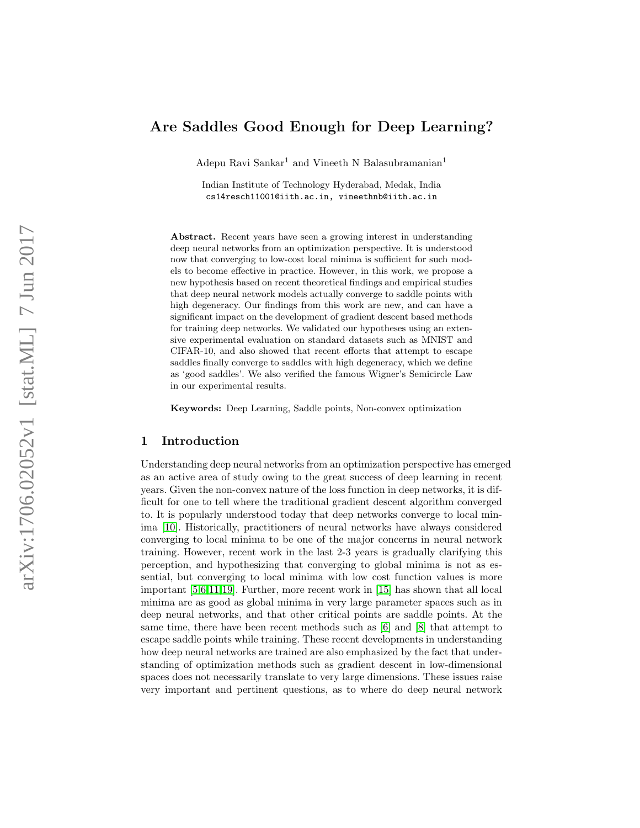# Are Saddles Good Enough for Deep Learning?

Adepu Ravi Sankar<sup>1</sup> and Vineeth N Balasubramanian<sup>1</sup>

Indian Institute of Technology Hyderabad, Medak, India cs14resch11001@iith.ac.in, vineethnb@iith.ac.in

Abstract. Recent years have seen a growing interest in understanding deep neural networks from an optimization perspective. It is understood now that converging to low-cost local minima is sufficient for such models to become effective in practice. However, in this work, we propose a new hypothesis based on recent theoretical findings and empirical studies that deep neural network models actually converge to saddle points with high degeneracy. Our findings from this work are new, and can have a significant impact on the development of gradient descent based methods for training deep networks. We validated our hypotheses using an extensive experimental evaluation on standard datasets such as MNIST and CIFAR-10, and also showed that recent efforts that attempt to escape saddles finally converge to saddles with high degeneracy, which we define as 'good saddles'. We also verified the famous Wigner's Semicircle Law in our experimental results.

Keywords: Deep Learning, Saddle points, Non-convex optimization

## 1 Introduction

Understanding deep neural networks from an optimization perspective has emerged as an active area of study owing to the great success of deep learning in recent years. Given the non-convex nature of the loss function in deep networks, it is difficult for one to tell where the traditional gradient descent algorithm converged to. It is popularly understood today that deep networks converge to local minima [\[10\]](#page-15-0). Historically, practitioners of neural networks have always considered converging to local minima to be one of the major concerns in neural network training. However, recent work in the last 2-3 years is gradually clarifying this perception, and hypothesizing that converging to global minima is not as essential, but converging to local minima with low cost function values is more important [\[5](#page-14-0)[,6,](#page-15-1)[11,](#page-15-2)[19\]](#page-15-3). Further, more recent work in [\[15\]](#page-15-4) has shown that all local minima are as good as global minima in very large parameter spaces such as in deep neural networks, and that other critical points are saddle points. At the same time, there have been recent methods such as [\[6\]](#page-15-1) and [\[8\]](#page-15-5) that attempt to escape saddle points while training. These recent developments in understanding how deep neural networks are trained are also emphasized by the fact that understanding of optimization methods such as gradient descent in low-dimensional spaces does not necessarily translate to very large dimensions. These issues raise very important and pertinent questions, as to where do deep neural network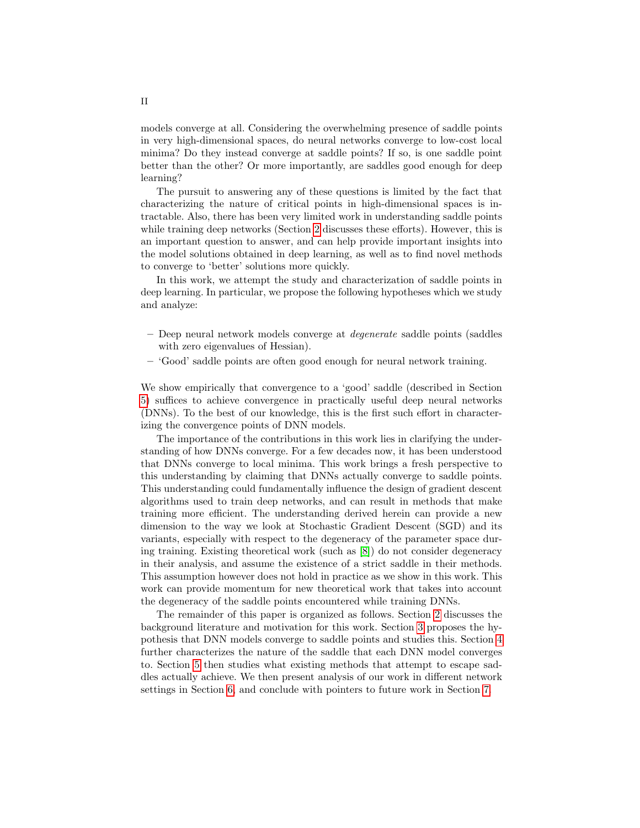models converge at all. Considering the overwhelming presence of saddle points in very high-dimensional spaces, do neural networks converge to low-cost local minima? Do they instead converge at saddle points? If so, is one saddle point better than the other? Or more importantly, are saddles good enough for deep learning?

The pursuit to answering any of these questions is limited by the fact that characterizing the nature of critical points in high-dimensional spaces is intractable. Also, there has been very limited work in understanding saddle points while training deep networks (Section [2](#page-2-0) discusses these efforts). However, this is an important question to answer, and can help provide important insights into the model solutions obtained in deep learning, as well as to find novel methods to converge to 'better' solutions more quickly.

In this work, we attempt the study and characterization of saddle points in deep learning. In particular, we propose the following hypotheses which we study and analyze:

- Deep neural network models converge at degenerate saddle points (saddles with zero eigenvalues of Hessian).
- 'Good' saddle points are often good enough for neural network training.

We show empirically that convergence to a 'good' saddle (described in Section [5\)](#page-9-0) suffices to achieve convergence in practically useful deep neural networks (DNNs). To the best of our knowledge, this is the first such effort in characterizing the convergence points of DNN models.

The importance of the contributions in this work lies in clarifying the understanding of how DNNs converge. For a few decades now, it has been understood that DNNs converge to local minima. This work brings a fresh perspective to this understanding by claiming that DNNs actually converge to saddle points. This understanding could fundamentally influence the design of gradient descent algorithms used to train deep networks, and can result in methods that make training more efficient. The understanding derived herein can provide a new dimension to the way we look at Stochastic Gradient Descent (SGD) and its variants, especially with respect to the degeneracy of the parameter space during training. Existing theoretical work (such as [\[8\]](#page-15-5)) do not consider degeneracy in their analysis, and assume the existence of a strict saddle in their methods. This assumption however does not hold in practice as we show in this work. This work can provide momentum for new theoretical work that takes into account the degeneracy of the saddle points encountered while training DNNs.

The remainder of this paper is organized as follows. Section [2](#page-2-0) discusses the background literature and motivation for this work. Section [3](#page-5-0) proposes the hypothesis that DNN models converge to saddle points and studies this. Section [4](#page-7-0) further characterizes the nature of the saddle that each DNN model converges to. Section [5](#page-9-0) then studies what existing methods that attempt to escape saddles actually achieve. We then present analysis of our work in different network settings in Section [6,](#page-12-0) and conclude with pointers to future work in Section [7.](#page-14-1)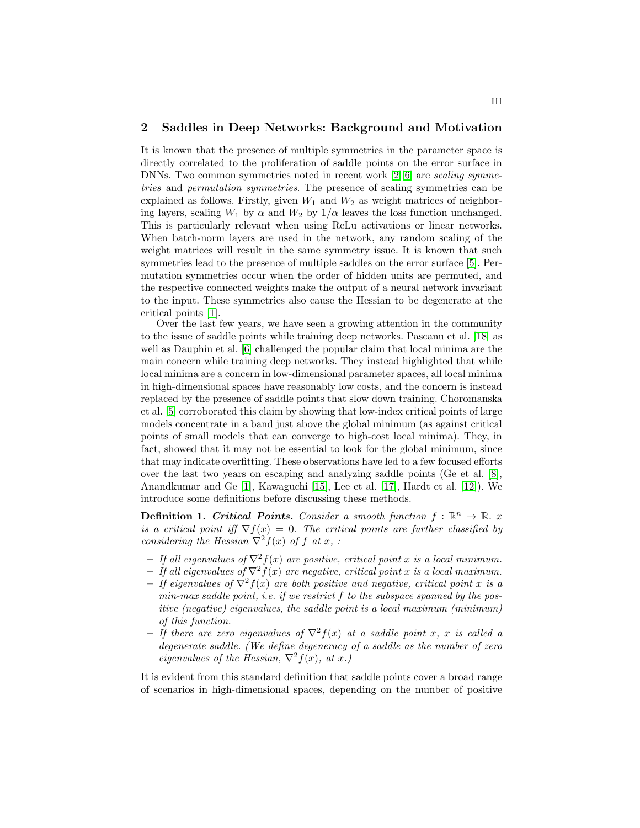### <span id="page-2-0"></span>2 Saddles in Deep Networks: Background and Motivation

It is known that the presence of multiple symmetries in the parameter space is directly correlated to the proliferation of saddle points on the error surface in DNNs. Two common symmetries noted in recent work  $[2][6]$  $[2][6]$  are *scaling symme*tries and permutation symmetries. The presence of scaling symmetries can be explained as follows. Firstly, given  $W_1$  and  $W_2$  as weight matrices of neighboring layers, scaling  $W_1$  by  $\alpha$  and  $W_2$  by  $1/\alpha$  leaves the loss function unchanged. This is particularly relevant when using ReLu activations or linear networks. When batch-norm layers are used in the network, any random scaling of the weight matrices will result in the same symmetry issue. It is known that such symmetries lead to the presence of multiple saddles on the error surface [\[5\]](#page-14-0). Permutation symmetries occur when the order of hidden units are permuted, and the respective connected weights make the output of a neural network invariant to the input. These symmetries also cause the Hessian to be degenerate at the critical points [\[1\]](#page-14-3).

Over the last few years, we have seen a growing attention in the community to the issue of saddle points while training deep networks. Pascanu et al. [\[18\]](#page-15-6) as well as Dauphin et al. [\[6\]](#page-15-1) challenged the popular claim that local minima are the main concern while training deep networks. They instead highlighted that while local minima are a concern in low-dimensional parameter spaces, all local minima in high-dimensional spaces have reasonably low costs, and the concern is instead replaced by the presence of saddle points that slow down training. Choromanska et al. [\[5\]](#page-14-0) corroborated this claim by showing that low-index critical points of large models concentrate in a band just above the global minimum (as against critical points of small models that can converge to high-cost local minima). They, in fact, showed that it may not be essential to look for the global minimum, since that may indicate overfitting. These observations have led to a few focused efforts over the last two years on escaping and analyzing saddle points (Ge et al. [\[8\]](#page-15-5), Anandkumar and Ge [\[1\]](#page-14-3), Kawaguchi [\[15\]](#page-15-4), Lee et al. [\[17\]](#page-15-7), Hardt et al. [\[12\]](#page-15-8)). We introduce some definitions before discussing these methods.

**Definition 1. Critical Points.** Consider a smooth function  $f : \mathbb{R}^n \to \mathbb{R}$ . x is a critical point iff  $\nabla f(x) = 0$ . The critical points are further classified by considering the Hessian  $\nabla^2 f(x)$  of f at x, :

- If all eigenvalues of  $\nabla^2 f(x)$  are positive, critical point x is a local minimum.
- If all eigenvalues of  $\nabla^2 f(x)$  are negative, critical point x is a local maximum.
- If eigenvalues of  $\nabla^2 f(x)$  are both positive and negative, critical point x is a  $min$ -max saddle point, i.e. if we restrict  $f$  to the subspace spanned by the positive (negative) eigenvalues, the saddle point is a local maximum (minimum) of this function.
- If there are zero eigenvalues of  $\nabla^2 f(x)$  at a saddle point x, x is called a degenerate saddle. (We define degeneracy of a saddle as the number of zero eigenvalues of the Hessian,  $\nabla^2 f(x)$ , at x.)

It is evident from this standard definition that saddle points cover a broad range of scenarios in high-dimensional spaces, depending on the number of positive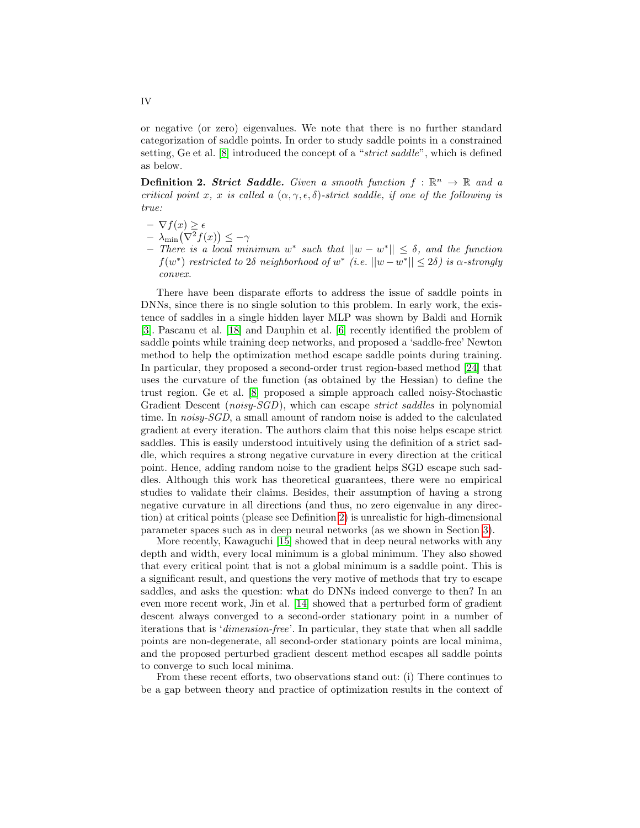or negative (or zero) eigenvalues. We note that there is no further standard categorization of saddle points. In order to study saddle points in a constrained setting, Ge et al. [\[8\]](#page-15-5) introduced the concept of a "strict saddle", which is defined as below.

<span id="page-3-0"></span>**Definition 2. Strict Saddle.** Given a smooth function  $f : \mathbb{R}^n \to \mathbb{R}$  and a critical point x, x is called a  $(\alpha, \gamma, \epsilon, \delta)$ -strict saddle, if one of the following is true:

- $\nabla f(x) \geq \epsilon$  $- \lambda_{\min} (\nabla^2 f(x)) \leq -\gamma$
- $-$  There is a local minimum w<sup>\*</sup> such that  $||w w^*|| ≤ δ$ , and the function  $f(w^*)$  restricted to 2δ neighborhood of  $w^*$  (i.e.  $||w-w^*|| \leq 2\delta$ ) is  $\alpha$ -strongly convex.

There have been disparate efforts to address the issue of saddle points in DNNs, since there is no single solution to this problem. In early work, the existence of saddles in a single hidden layer MLP was shown by Baldi and Hornik [\[3\]](#page-14-4). Pascanu et al. [\[18\]](#page-15-6) and Dauphin et al. [\[6\]](#page-15-1) recently identified the problem of saddle points while training deep networks, and proposed a 'saddle-free' Newton method to help the optimization method escape saddle points during training. In particular, they proposed a second-order trust region-based method [\[24\]](#page-15-9) that uses the curvature of the function (as obtained by the Hessian) to define the trust region. Ge et al. [\[8\]](#page-15-5) proposed a simple approach called noisy-Stochastic Gradient Descent (*noisy-SGD*), which can escape *strict saddles* in polynomial time. In noisy-SGD, a small amount of random noise is added to the calculated gradient at every iteration. The authors claim that this noise helps escape strict saddles. This is easily understood intuitively using the definition of a strict saddle, which requires a strong negative curvature in every direction at the critical point. Hence, adding random noise to the gradient helps SGD escape such saddles. Although this work has theoretical guarantees, there were no empirical studies to validate their claims. Besides, their assumption of having a strong negative curvature in all directions (and thus, no zero eigenvalue in any direction) at critical points (please see Definition [2\)](#page-3-0) is unrealistic for high-dimensional parameter spaces such as in deep neural networks (as we shown in Section [3\)](#page-5-0).

More recently, Kawaguchi [\[15\]](#page-15-4) showed that in deep neural networks with any depth and width, every local minimum is a global minimum. They also showed that every critical point that is not a global minimum is a saddle point. This is a significant result, and questions the very motive of methods that try to escape saddles, and asks the question: what do DNNs indeed converge to then? In an even more recent work, Jin et al. [\[14\]](#page-15-10) showed that a perturbed form of gradient descent always converged to a second-order stationary point in a number of iterations that is 'dimension-free'. In particular, they state that when all saddle points are non-degenerate, all second-order stationary points are local minima, and the proposed perturbed gradient descent method escapes all saddle points to converge to such local minima.

From these recent efforts, two observations stand out: (i) There continues to be a gap between theory and practice of optimization results in the context of

IV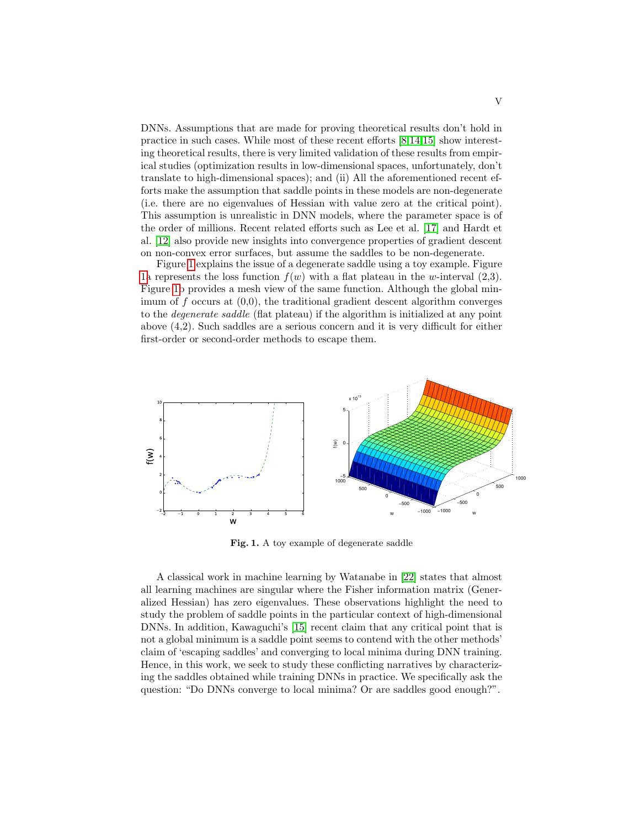DNNs. Assumptions that are made for proving theoretical results don't hold in practice in such cases. While most of these recent efforts [\[8,](#page-15-5)[14,](#page-15-10)[15\]](#page-15-4) show interesting theoretical results, there is very limited validation of these results from empirical studies (optimization results in low-dimensional spaces, unfortunately, don't translate to high-dimensional spaces); and (ii) All the aforementioned recent efforts make the assumption that saddle points in these models are non-degenerate (i.e. there are no eigenvalues of Hessian with value zero at the critical point). This assumption is unrealistic in DNN models, where the parameter space is of the order of millions. Recent related efforts such as Lee et al. [\[17\]](#page-15-7) and Hardt et al. [\[12\]](#page-15-8) also provide new insights into convergence properties of gradient descent on non-convex error surfaces, but assume the saddles to be non-degenerate.

Figure [1](#page-4-0) explains the issue of a degenerate saddle using a toy example. Figure [1a](#page-4-0) represents the loss function  $f(w)$  with a flat plateau in the w-interval  $(2,3)$ . Figure [1b](#page-4-0) provides a mesh view of the same function. Although the global minimum of  $f$  occurs at  $(0,0)$ , the traditional gradient descent algorithm converges to the degenerate saddle (flat plateau) if the algorithm is initialized at any point above (4,2). Such saddles are a serious concern and it is very difficult for either first-order or second-order methods to escape them.



<span id="page-4-0"></span>Fig. 1. A toy example of degenerate saddle

A classical work in machine learning by Watanabe in [\[22\]](#page-15-11) states that almost all learning machines are singular where the Fisher information matrix (Generalized Hessian) has zero eigenvalues. These observations highlight the need to study the problem of saddle points in the particular context of high-dimensional DNNs. In addition, Kawaguchi's [\[15\]](#page-15-4) recent claim that any critical point that is not a global minimum is a saddle point seems to contend with the other methods' claim of 'escaping saddles' and converging to local minima during DNN training. Hence, in this work, we seek to study these conflicting narratives by characterizing the saddles obtained while training DNNs in practice. We specifically ask the question: "Do DNNs converge to local minima? Or are saddles good enough?".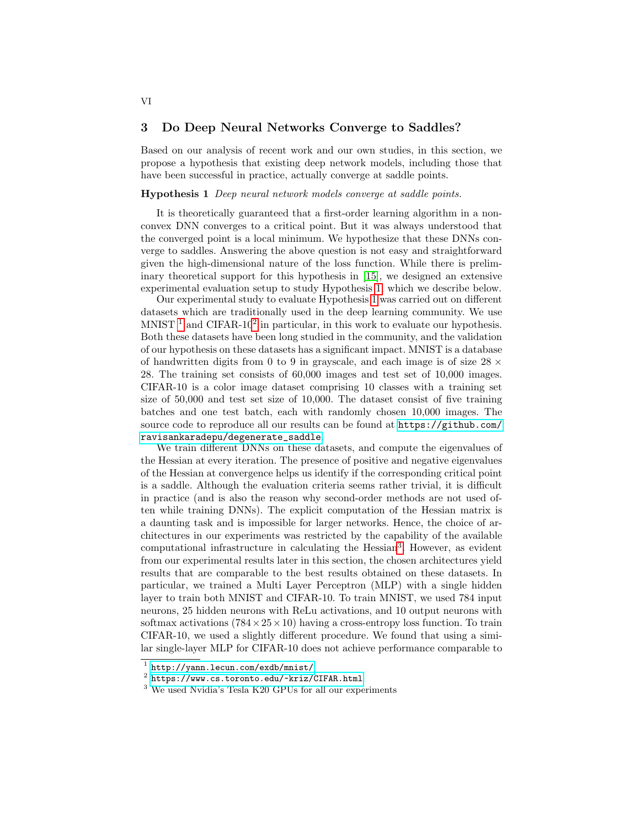# <span id="page-5-0"></span>3 Do Deep Neural Networks Converge to Saddles?

Based on our analysis of recent work and our own studies, in this section, we propose a hypothesis that existing deep network models, including those that have been successful in practice, actually converge at saddle points.

### <span id="page-5-1"></span>Hypothesis 1 Deep neural network models converge at saddle points.

It is theoretically guaranteed that a first-order learning algorithm in a nonconvex DNN converges to a critical point. But it was always understood that the converged point is a local minimum. We hypothesize that these DNNs converge to saddles. Answering the above question is not easy and straightforward given the high-dimensional nature of the loss function. While there is preliminary theoretical support for this hypothesis in [\[15\]](#page-15-4), we designed an extensive experimental evaluation setup to study Hypothesis [1,](#page-5-1) which we describe below.

Our experimental study to evaluate Hypothesis [1](#page-5-1) was carried out on different datasets which are traditionally used in the deep learning community. We use MNIST<sup>[1](#page-5-2)</sup> and CIFAR-10<sup>[2](#page-5-3)</sup> in particular, in this work to evaluate our hypothesis. Both these datasets have been long studied in the community, and the validation of our hypothesis on these datasets has a significant impact. MNIST is a database of handwritten digits from 0 to 9 in grayscale, and each image is of size  $28 \times$ 28. The training set consists of 60,000 images and test set of 10,000 images. CIFAR-10 is a color image dataset comprising 10 classes with a training set size of 50,000 and test set size of 10,000. The dataset consist of five training batches and one test batch, each with randomly chosen 10,000 images. The source code to reproduce all our results can be found at [https://github.com/](https://github.com/ravisankaradepu/degenerate_saddle) [ravisankaradepu/degenerate\\_saddle](https://github.com/ravisankaradepu/degenerate_saddle).

We train different DNNs on these datasets, and compute the eigenvalues of the Hessian at every iteration. The presence of positive and negative eigenvalues of the Hessian at convergence helps us identify if the corresponding critical point is a saddle. Although the evaluation criteria seems rather trivial, it is difficult in practice (and is also the reason why second-order methods are not used often while training DNNs). The explicit computation of the Hessian matrix is a daunting task and is impossible for larger networks. Hence, the choice of architectures in our experiments was restricted by the capability of the available computational infrastructure in calculating the Hessian<sup>[3](#page-5-4)</sup>. However, as evident from our experimental results later in this section, the chosen architectures yield results that are comparable to the best results obtained on these datasets. In particular, we trained a Multi Layer Perceptron (MLP) with a single hidden layer to train both MNIST and CIFAR-10. To train MNIST, we used 784 input neurons, 25 hidden neurons with ReLu activations, and 10 output neurons with softmax activations  $(784 \times 25 \times 10)$  having a cross-entropy loss function. To train CIFAR-10, we used a slightly different procedure. We found that using a similar single-layer MLP for CIFAR-10 does not achieve performance comparable to

<span id="page-5-2"></span><sup>1</sup> <http://yann.lecun.com/exdb/mnist/>

<span id="page-5-3"></span> $\frac{2}{\pi}$  <https://www.cs.toronto.edu/~kriz/CIFAR.html>

<span id="page-5-4"></span><sup>3</sup> We used Nvidia's Tesla K20 GPUs for all our experiments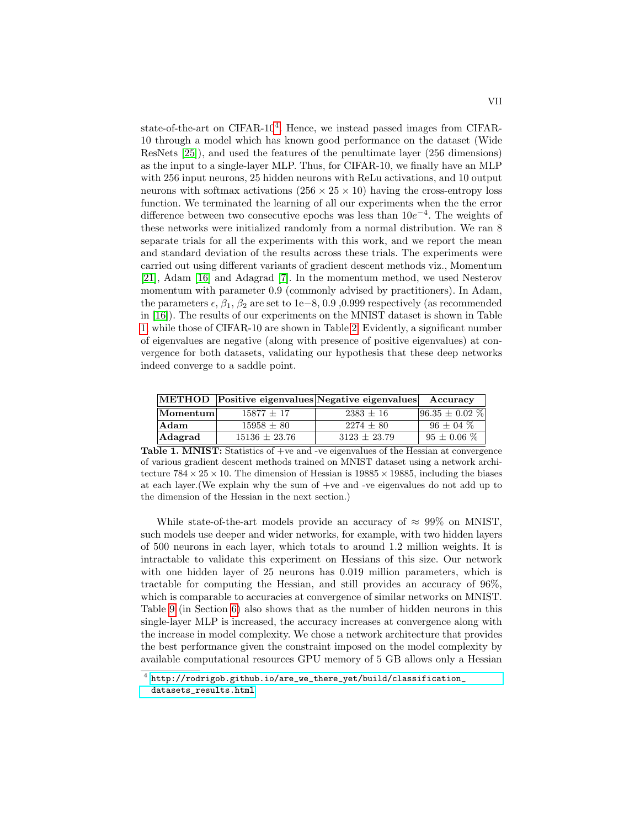state-of-the-art on CIFAR-10<sup>[4](#page-6-0)</sup>. Hence, we instead passed images from CIFAR-10 through a model which has known good performance on the dataset (Wide ResNets [\[25\]](#page-15-12)), and used the features of the penultimate layer (256 dimensions) as the input to a single-layer MLP. Thus, for CIFAR-10, we finally have an MLP with 256 input neurons, 25 hidden neurons with ReLu activations, and 10 output neurons with softmax activations  $(256 \times 25 \times 10)$  having the cross-entropy loss function. We terminated the learning of all our experiments when the the error difference between two consecutive epochs was less than  $10e^{-4}$ . The weights of these networks were initialized randomly from a normal distribution. We ran 8 separate trials for all the experiments with this work, and we report the mean and standard deviation of the results across these trials. The experiments were carried out using different variants of gradient descent methods viz., Momentum [\[21\]](#page-15-13), Adam [\[16\]](#page-15-14) and Adagrad [\[7\]](#page-15-15). In the momentum method, we used Nesterov momentum with parameter 0.9 (commonly advised by practitioners). In Adam, the parameters  $\epsilon$ ,  $\beta_1$ ,  $\beta_2$  are set to 1e–8, 0.9, 0.999 respectively (as recommended in [\[16\]](#page-15-14)). The results of our experiments on the MNIST dataset is shown in Table [1,](#page-6-1) while those of CIFAR-10 are shown in Table [2.](#page-7-1) Evidently, a significant number of eigenvalues are negative (along with presence of positive eigenvalues) at convergence for both datasets, validating our hypothesis that these deep networks indeed converge to a saddle point.

|                                |                   | METHOD Positive eigenvalues Negative eigenvalues Accuracy |                       |
|--------------------------------|-------------------|-----------------------------------------------------------|-----------------------|
| $\left  \rm{Momentum} \right $ | $15877 + 17$      | $2383 \pm 16$                                             | $ 96.35 \pm 0.02 \% $ |
| Adam                           | $15958 + 80$      | $2274 + 80$                                               | $96 \pm 04 \%$        |
| Adagrad                        | $15136 \pm 23.76$ | $3123 + 23.79$                                            | $95 \pm 0.06 \%$      |

<span id="page-6-1"></span>Table 1. MNIST: Statistics of +ve and -ve eigenvalues of the Hessian at convergence of various gradient descent methods trained on MNIST dataset using a network architecture  $784 \times 25 \times 10$ . The dimension of Hessian is  $19885 \times 19885$ , including the biases at each layer.(We explain why the sum of +ve and -ve eigenvalues do not add up to the dimension of the Hessian in the next section.)

While state-of-the-art models provide an accuracy of  $\approx 99\%$  on MNIST, such models use deeper and wider networks, for example, with two hidden layers of 500 neurons in each layer, which totals to around 1.2 million weights. It is intractable to validate this experiment on Hessians of this size. Our network with one hidden layer of 25 neurons has 0.019 million parameters, which is tractable for computing the Hessian, and still provides an accuracy of 96%, which is comparable to accuracies at convergence of similar networks on MNIST. Table [9](#page-14-5) (in Section [6\)](#page-12-0) also shows that as the number of hidden neurons in this single-layer MLP is increased, the accuracy increases at convergence along with the increase in model complexity. We chose a network architecture that provides the best performance given the constraint imposed on the model complexity by available computational resources GPU memory of 5 GB allows only a Hessian

<span id="page-6-0"></span> $^4$  [http://rodrigob.github.io/are\\_we\\_there\\_yet/build/classification\\_](http://rodrigob.github.io/are_we_there_yet/build/classification_datasets_results.html) [datasets\\_results.html](http://rodrigob.github.io/are_we_there_yet/build/classification_datasets_results.html)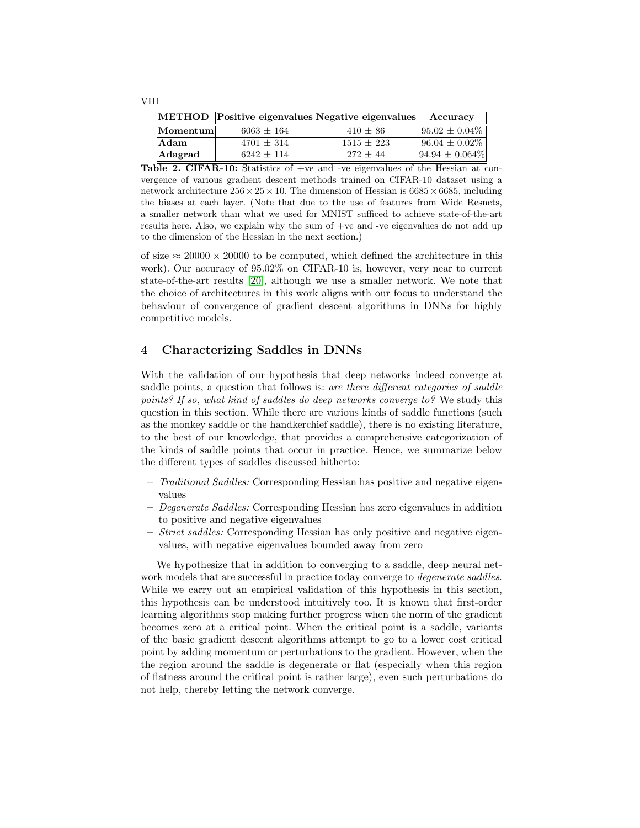|          |              | METHOD Positive eigenvalues Negative eigenvalues | Accuracy                  |
|----------|--------------|--------------------------------------------------|---------------------------|
| Momentum | $6063 + 164$ | $410 \pm 86$                                     | $\sqrt{95.02} \pm 0.04\%$ |
| Adam     | $4701 + 314$ | $1515 + 223$                                     | $\sqrt{96.04} \pm 0.02\%$ |
| Adagrad  | $6242 + 114$ | $272 + 44$                                       | $ 94.94 \pm 0.064\% $     |

<span id="page-7-1"></span>Table 2. CIFAR-10: Statistics of +ve and -ve eigenvalues of the Hessian at convergence of various gradient descent methods trained on CIFAR-10 dataset using a network architecture  $256 \times 25 \times 10$ . The dimension of Hessian is 6685  $\times$  6685, including the biases at each layer. (Note that due to the use of features from Wide Resnets, a smaller network than what we used for MNIST sufficed to achieve state-of-the-art results here. Also, we explain why the sum of +ve and -ve eigenvalues do not add up to the dimension of the Hessian in the next section.)

of size  $\approx 20000 \times 20000$  to be computed, which defined the architecture in this work). Our accuracy of 95.02% on CIFAR-10 is, however, very near to current state-of-the-art results [\[20\]](#page-15-16), although we use a smaller network. We note that the choice of architectures in this work aligns with our focus to understand the behaviour of convergence of gradient descent algorithms in DNNs for highly competitive models.

# <span id="page-7-0"></span>4 Characterizing Saddles in DNNs

With the validation of our hypothesis that deep networks indeed converge at saddle points, a question that follows is: are there different categories of saddle points? If so, what kind of saddles do deep networks converge to? We study this question in this section. While there are various kinds of saddle functions (such as the monkey saddle or the handkerchief saddle), there is no existing literature, to the best of our knowledge, that provides a comprehensive categorization of the kinds of saddle points that occur in practice. Hence, we summarize below the different types of saddles discussed hitherto:

- Traditional Saddles: Corresponding Hessian has positive and negative eigenvalues
- $-$  Degenerate Saddles: Corresponding Hessian has zero eigenvalues in addition to positive and negative eigenvalues
- Strict saddles: Corresponding Hessian has only positive and negative eigenvalues, with negative eigenvalues bounded away from zero

<span id="page-7-2"></span>We hypothesize that in addition to converging to a saddle, deep neural network models that are successful in practice today converge to *degenerate saddles*. While we carry out an empirical validation of this hypothesis in this section, this hypothesis can be understood intuitively too. It is known that first-order learning algorithms stop making further progress when the norm of the gradient becomes zero at a critical point. When the critical point is a saddle, variants of the basic gradient descent algorithms attempt to go to a lower cost critical point by adding momentum or perturbations to the gradient. However, when the the region around the saddle is degenerate or flat (especially when this region of flatness around the critical point is rather large), even such perturbations do not help, thereby letting the network converge.

VIII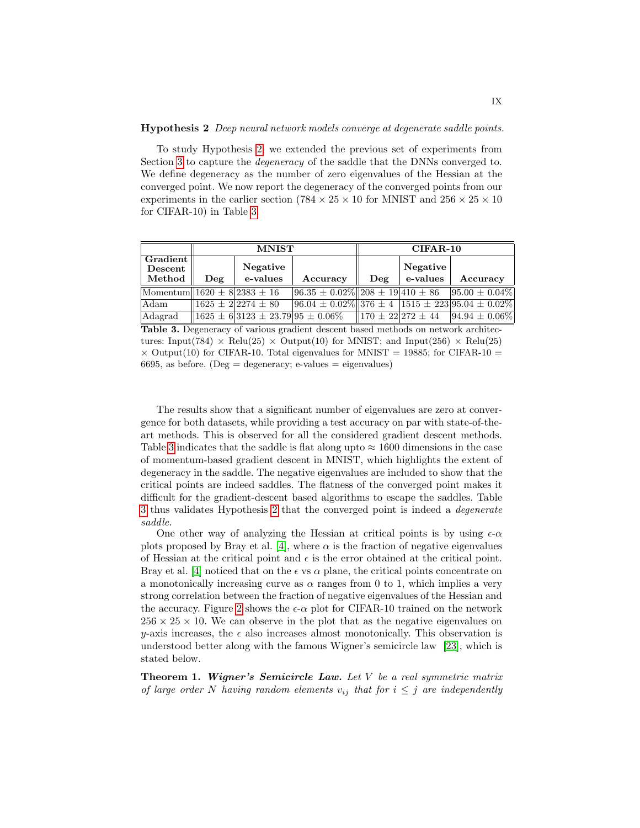#### Hypothesis 2 Deep neural network models converge at degenerate saddle points.

To study Hypothesis [2,](#page-7-2) we extended the previous set of experiments from Section [3](#page-5-0) to capture the degeneracy of the saddle that the DNNs converged to. We define degeneracy as the number of zero eigenvalues of the Hessian at the converged point. We now report the degeneracy of the converged points from our experiments in the earlier section (784  $\times$  25  $\times$  10 for MNIST and 256  $\times$  25  $\times$  10 for CIFAR-10) in Table [3.](#page-8-0)

|                                            |                 | <b>MNIST</b>                                                         |                                                                 |                 | $CIFAR-10$                |                     |
|--------------------------------------------|-----------------|----------------------------------------------------------------------|-----------------------------------------------------------------|-----------------|---------------------------|---------------------|
| Gradient                                   |                 | Negative                                                             |                                                                 |                 | Negative                  |                     |
| Descent<br>Method                          | $\mathbf{De}$ g | e-values                                                             | Accuracy                                                        | $\mathbf{De}$ g | e-values                  | Accuracy            |
| $ \text{Momentum}  1620 \pm 8 2383 \pm 16$ |                 |                                                                      | $96.35 \pm 0.02\%$ 208 $\pm 19$ 410 $\pm 86$ 95.00 $\pm 0.04\%$ |                 |                           |                     |
| Adam                                       |                 | $1625 \pm 22274 \pm 80$                                              | $96.04 \pm 0.02\%$ 376 ± 4 1515 ± 223 95.04 ± 0.02%             |                 |                           |                     |
| Adagrad                                    |                 | $\parallel$ 1625 ± 6 $\parallel$ 3123 ± 23.79 $\parallel$ 95 ± 0.06% |                                                                 |                 | $  170 \pm 22 272 \pm 44$ | $ 94.94 \pm 0.06\%$ |

<span id="page-8-0"></span>Table 3. Degeneracy of various gradient descent based methods on network architectures: Input(784)  $\times$  Relu(25)  $\times$  Output(10) for MNIST; and Input(256)  $\times$  Relu(25)  $\times$  Output(10) for CIFAR-10. Total eigenvalues for MNIST = 19885; for CIFAR-10 = 6695, as before. (Deg = degeneracy; e-values = eigenvalues)

The results show that a significant number of eigenvalues are zero at convergence for both datasets, while providing a test accuracy on par with state-of-theart methods. This is observed for all the considered gradient descent methods. Table [3](#page-8-0) indicates that the saddle is flat along upto  $\approx 1600$  dimensions in the case of momentum-based gradient descent in MNIST, which highlights the extent of degeneracy in the saddle. The negative eigenvalues are included to show that the critical points are indeed saddles. The flatness of the converged point makes it difficult for the gradient-descent based algorithms to escape the saddles. Table [3](#page-8-0) thus validates Hypothesis [2](#page-7-2) that the converged point is indeed a degenerate saddle.

One other way of analyzing the Hessian at critical points is by using  $\epsilon$ - $\alpha$ plots proposed by Bray et al. [\[4\]](#page-14-6), where  $\alpha$  is the fraction of negative eigenvalues of Hessian at the critical point and  $\epsilon$  is the error obtained at the critical point. Bray et al. [\[4\]](#page-14-6) noticed that on the  $\epsilon$  vs  $\alpha$  plane, the critical points concentrate on a monotonically increasing curve as  $\alpha$  ranges from 0 to 1, which implies a very strong correlation between the fraction of negative eigenvalues of the Hessian and the accuracy. Figure [2](#page-9-1) shows the  $\epsilon$ - $\alpha$  plot for CIFAR-10 trained on the network  $256 \times 25 \times 10$ . We can observe in the plot that as the negative eigenvalues on y-axis increases, the  $\epsilon$  also increases almost monotonically. This observation is understood better along with the famous Wigner's semicircle law [\[23\]](#page-15-17), which is stated below.

**Theorem 1. Wigner's Semicircle Law.** Let  $V$  be a real symmetric matrix of large order N having random elements  $v_{ij}$  that for  $i \leq j$  are independently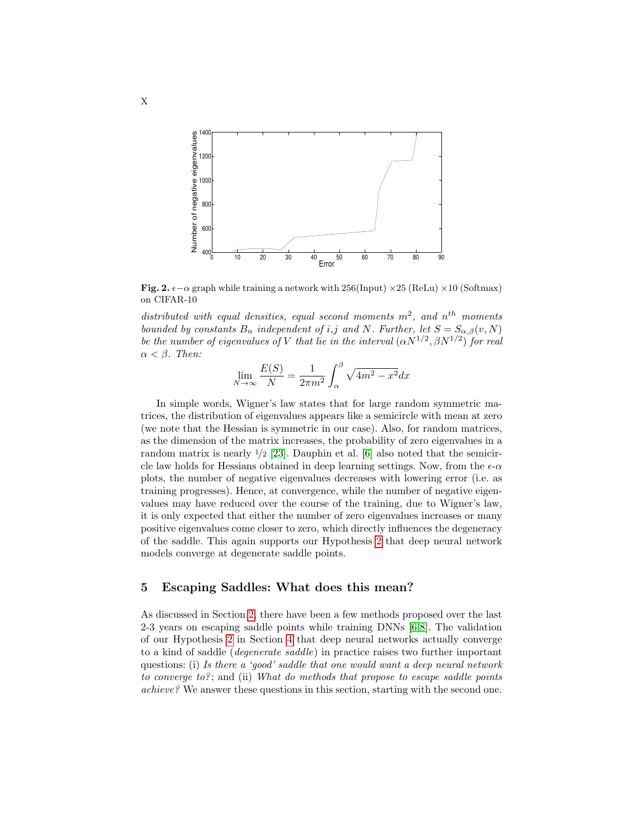

<span id="page-9-1"></span>Fig. 2.  $\epsilon - \alpha$  graph while training a network with 256(Input)  $\times$  25 (ReLu)  $\times$  10 (Softmax) on CIFAR-10

distributed with equal densities, equal second moments  $m^2$ , and  $n^{th}$  moments bounded by constants  $B_n$  independent of i,j and N. Further, let  $S = S_{\alpha,\beta}(v, N)$ be the number of eigenvalues of V that lie in the interval  $(\alpha N^{1/2}, \beta N^{1/2})$  for real  $\alpha < \beta$ . Then:

$$
\lim_{N \to \infty} \frac{E(S)}{N} = \frac{1}{2\pi m^2} \int_{\alpha}^{\beta} \sqrt{4m^2 - x^2} dx
$$

In simple words, Wigner's law states that for large random symmetric matrices, the distribution of eigenvalues appears like a semicircle with mean at zero (we note that the Hessian is symmetric in our case). Also, for random matrices, as the dimension of the matrix increases, the probability of zero eigenvalues in a random matrix is nearly  $\frac{1}{2}$  [\[23\]](#page-15-17). Dauphin et al. [\[6\]](#page-15-1) also noted that the semicircle law holds for Hessians obtained in deep learning settings. Now, from the  $\epsilon$ - $\alpha$ plots, the number of negative eigenvalues decreases with lowering error (i.e. as training progresses). Hence, at convergence, while the number of negative eigenvalues may have reduced over the course of the training, due to Wigner's law, it is only expected that either the number of zero eigenvalues increases or many positive eigenvalues come closer to zero, which directly influences the degeneracy of the saddle. This again supports our Hypothesis [2](#page-7-2) that deep neural network models converge at degenerate saddle points.

### <span id="page-9-0"></span>5 Escaping Saddles: What does this mean?

As discussed in Section [2,](#page-2-0) there have been a few methods proposed over the last 2-3 years on escaping saddle points while training DNNs [\[6,](#page-15-1)[8\]](#page-15-5). The validation of our Hypothesis [2](#page-7-2) in Section [4](#page-7-0) that deep neural networks actually converge to a kind of saddle (degenerate saddle) in practice raises two further important questions: (i) Is there a 'good' saddle that one would want a deep neural network to converge to?; and (ii) What do methods that propose to escape saddle points achieve? We answer these questions in this section, starting with the second one.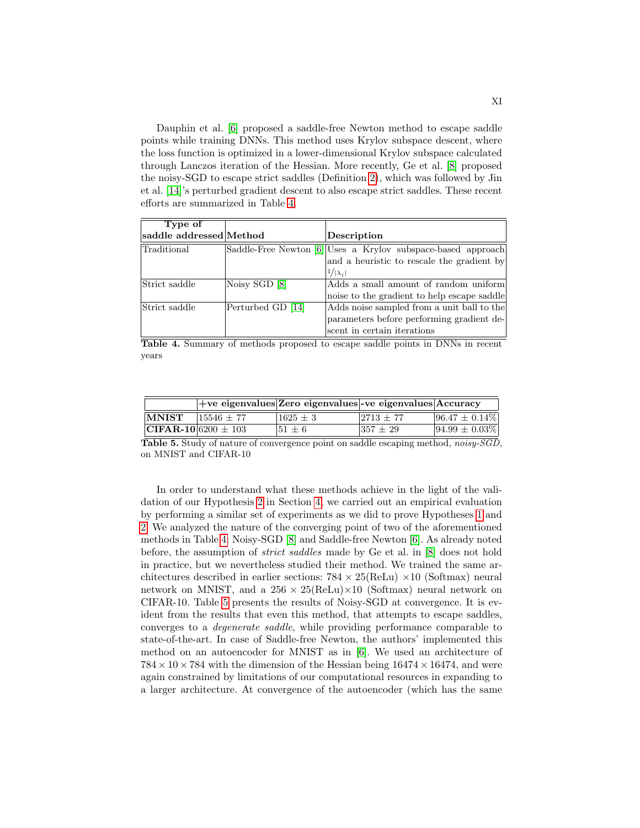Dauphin et al. [\[6\]](#page-15-1) proposed a saddle-free Newton method to escape saddle points while training DNNs. This method uses Krylov subspace descent, where the loss function is optimized in a lower-dimensional Krylov subspace calculated through Lanczos iteration of the Hessian. More recently, Ge et al. [\[8\]](#page-15-5) proposed the noisy-SGD to escape strict saddles (Definition [2\)](#page-3-0), which was followed by Jin et al. [\[14\]](#page-15-10)'s perturbed gradient descent to also escape strict saddles. These recent efforts are summarized in Table [4.](#page-10-0)

| saddle addressed Method | Description                                                  |
|-------------------------|--------------------------------------------------------------|
|                         | Saddle-Free Newton [6] Uses a Krylov subspace-based approach |
|                         | and a heuristic to rescale the gradient by                   |
|                         | $1/ \lambda_i $                                              |
| Noisy SGD [8]           | Adds a small amount of random uniform                        |
|                         | noise to the gradient to help escape saddle                  |
| Perturbed GD [14]       | Adds noise sampled from a unit ball to the                   |
|                         | parameters before performing gradient de-                    |
|                         | scent in certain iterations                                  |
|                         |                                                              |

<span id="page-10-0"></span>Table 4. Summary of methods proposed to escape saddle points in DNNs in recent years

|                         |              | $ +ve$ eigenvalues Zero eigenvalues - ve eigenvalues $ $ Accuracy |              |                    |
|-------------------------|--------------|-------------------------------------------------------------------|--------------|--------------------|
| <b>MNIST</b>            | $15546 + 77$ | $1625 + 3$                                                        | $ 2713 + 77$ | $96.47 \pm 0.14\%$ |
| $CIFAR-10 6200 \pm 103$ |              | $ 51 + 6 $                                                        | $1357 + 29$  | $94.99 \pm 0.03\%$ |
| _                       |              |                                                                   | - --         | ---<br>.           |

<span id="page-10-1"></span>Table 5. Study of nature of convergence point on saddle escaping method, noisy-SGD, on MNIST and CIFAR-10

In order to understand what these methods achieve in the light of the validation of our Hypothesis [2](#page-7-2) in Section [4,](#page-7-0) we carried out an empirical evaluation by performing a similar set of experiments as we did to prove Hypotheses [1](#page-5-1) and [2.](#page-7-2) We analyzed the nature of the converging point of two of the aforementioned methods in Table [4:](#page-10-0) Noisy-SGD [\[8\]](#page-15-5) and Saddle-free Newton [\[6\]](#page-15-1). As already noted before, the assumption of strict saddles made by Ge et al. in [\[8\]](#page-15-5) does not hold in practice, but we nevertheless studied their method. We trained the same architectures described in earlier sections:  $784 \times 25(\text{ReLU} \times 10 \text{ (Softmax)}$  neural network on MNIST, and a  $256 \times 25$ (ReLu) $\times$ 10 (Softmax) neural network on CIFAR-10. Table [5](#page-10-1) presents the results of Noisy-SGD at convergence. It is evident from the results that even this method, that attempts to escape saddles, converges to a degenerate saddle, while providing performance comparable to state-of-the-art. In case of Saddle-free Newton, the authors' implemented this method on an autoencoder for MNIST as in [\[6\]](#page-15-1). We used an architecture of  $784 \times 10 \times 784$  with the dimension of the Hessian being  $16474 \times 16474$ , and were again constrained by limitations of our computational resources in expanding to a larger architecture. At convergence of the autoencoder (which has the same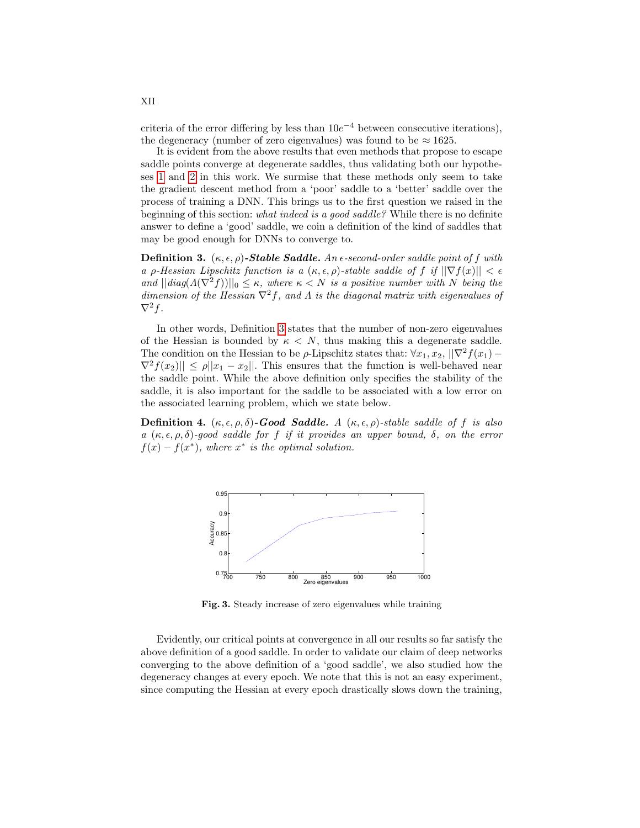criteria of the error differing by less than  $10e^{-4}$  between consecutive iterations), the degeneracy (number of zero eigenvalues) was found to be  $\approx 1625$ .

It is evident from the above results that even methods that propose to escape saddle points converge at degenerate saddles, thus validating both our hypotheses [1](#page-5-1) and [2](#page-7-2) in this work. We surmise that these methods only seem to take the gradient descent method from a 'poor' saddle to a 'better' saddle over the process of training a DNN. This brings us to the first question we raised in the beginning of this section: *what indeed is a good saddle?* While there is no definite answer to define a 'good' saddle, we coin a definition of the kind of saddles that may be good enough for DNNs to converge to.

<span id="page-11-0"></span>**Definition 3.**  $(\kappa, \epsilon, \rho)$ -Stable Saddle. An  $\epsilon$ -second-order saddle point of f with a ρ-Hessian Lipschitz function is a  $(\kappa, \epsilon, \rho)$ -stable saddle of f if  $||\nabla f(x)|| < \epsilon$ and  $||diag(A(\nabla^2 f))||_0 \leq \kappa$ , where  $\kappa < N$  is a positive number with N being the dimension of the Hessian  $\nabla^2 f$ , and  $\Lambda$  is the diagonal matrix with eigenvalues of  $\nabla^2 f$ .

In other words, Definition [3](#page-11-0) states that the number of non-zero eigenvalues of the Hessian is bounded by  $\kappa < N$ , thus making this a degenerate saddle. The condition on the Hessian to be  $\rho$ -Lipschitz states that:  $\forall x_1, x_2, ||\nabla^2 f(x_1) \nabla^2 f(x_2) \leq \rho ||x_1 - x_2||$ . This ensures that the function is well-behaved near the saddle point. While the above definition only specifies the stability of the saddle, it is also important for the saddle to be associated with a low error on the associated learning problem, which we state below.

Definition 4.  $(\kappa, \epsilon, \rho, \delta)$ -Good Saddle. A  $(\kappa, \epsilon, \rho)$ -stable saddle of f is also a  $(\kappa, \epsilon, \rho, \delta)$ -good saddle for f if it provides an upper bound,  $\delta$ , on the error  $f(x) - f(x^*)$ , where  $x^*$  is the optimal solution.



<span id="page-11-1"></span>Fig. 3. Steady increase of zero eigenvalues while training

Evidently, our critical points at convergence in all our results so far satisfy the above definition of a good saddle. In order to validate our claim of deep networks converging to the above definition of a 'good saddle', we also studied how the degeneracy changes at every epoch. We note that this is not an easy experiment, since computing the Hessian at every epoch drastically slows down the training,

XII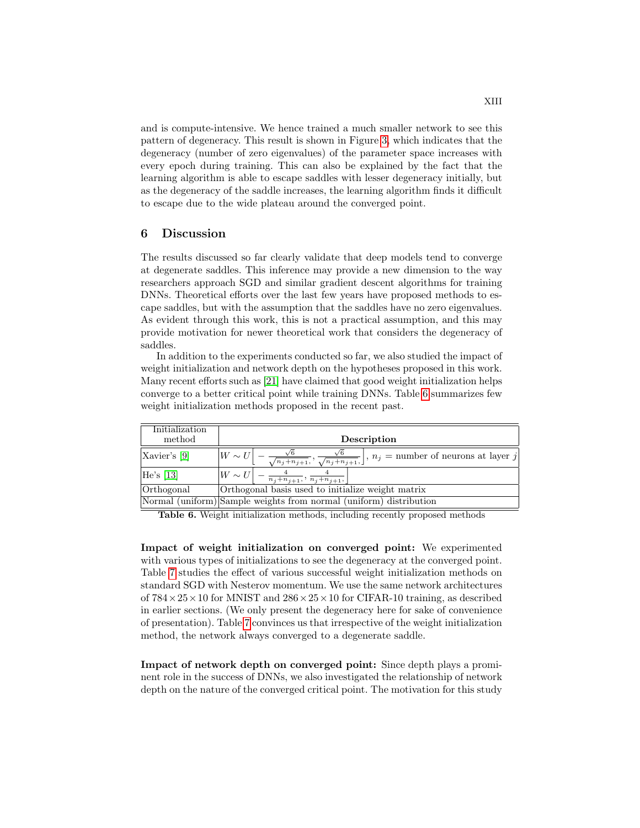and is compute-intensive. We hence trained a much smaller network to see this pattern of degeneracy. This result is shown in Figure [3,](#page-11-1) which indicates that the degeneracy (number of zero eigenvalues) of the parameter space increases with every epoch during training. This can also be explained by the fact that the learning algorithm is able to escape saddles with lesser degeneracy initially, but as the degeneracy of the saddle increases, the learning algorithm finds it difficult to escape due to the wide plateau around the converged point.

## <span id="page-12-0"></span>6 Discussion

The results discussed so far clearly validate that deep models tend to converge at degenerate saddles. This inference may provide a new dimension to the way researchers approach SGD and similar gradient descent algorithms for training DNNs. Theoretical efforts over the last few years have proposed methods to escape saddles, but with the assumption that the saddles have no zero eigenvalues. As evident through this work, this is not a practical assumption, and this may provide motivation for newer theoretical work that considers the degeneracy of saddles.

In addition to the experiments conducted so far, we also studied the impact of weight initialization and network depth on the hypotheses proposed in this work. Many recent efforts such as [\[21\]](#page-15-13) have claimed that good weight initialization helps converge to a better critical point while training DNNs. Table [6](#page-12-1) summarizes few weight initialization methods proposed in the recent past.

| Initialization<br>method | Description                                                                                                                          |
|--------------------------|--------------------------------------------------------------------------------------------------------------------------------------|
| Xavier's [9]             | $\frac{\sqrt{6}}{\sqrt{n_j+n_{j+1}}}, \frac{\sqrt{6}}{\sqrt{n_j+n_{j+1}}}\bigg], n_j =$ number of neurons at layer j<br>$ W \sim U $ |
| He's [13]                | $\frac{4}{n_j+n_{j+1}}, \frac{4}{n_j+n_{j+1}},$<br>$W \sim U$                                                                        |
| Orthogonal               | Orthogonal basis used to initialize weight matrix                                                                                    |
|                          | Normal (uniform) Sample weights from normal (uniform) distribution                                                                   |

<span id="page-12-1"></span>Table 6. Weight initialization methods, including recently proposed methods

Impact of weight initialization on converged point: We experimented with various types of initializations to see the degeneracy at the converged point. Table [7](#page-13-0) studies the effect of various successful weight initialization methods on standard SGD with Nesterov momentum. We use the same network architectures of  $784 \times 25 \times 10$  for MNIST and  $286 \times 25 \times 10$  for CIFAR-10 training, as described in earlier sections. (We only present the degeneracy here for sake of convenience of presentation). Table [7](#page-13-0) convinces us that irrespective of the weight initialization method, the network always converged to a degenerate saddle.

Impact of network depth on converged point: Since depth plays a prominent role in the success of DNNs, we also investigated the relationship of network depth on the nature of the converged critical point. The motivation for this study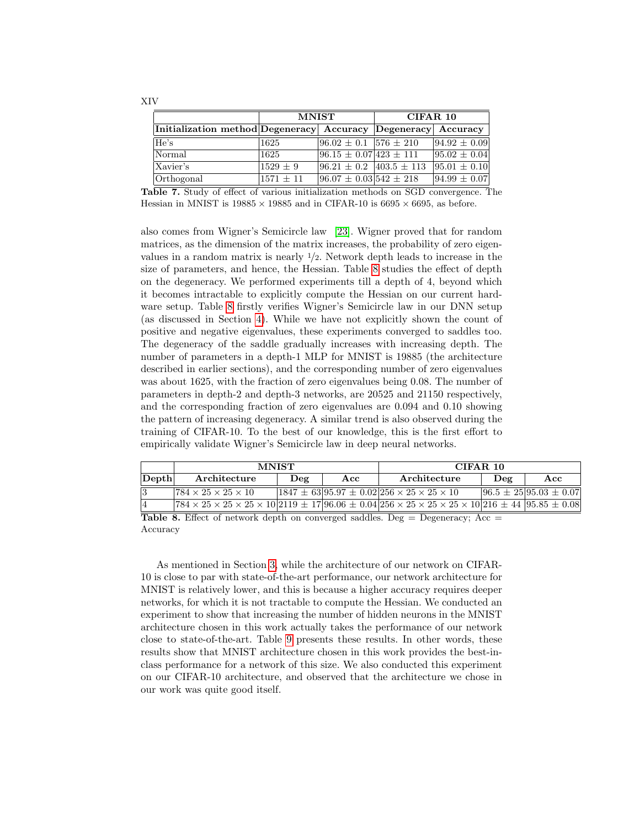|                                                               | <b>MNIST</b>  |                                   | CIFAR 10 |                  |
|---------------------------------------------------------------|---------------|-----------------------------------|----------|------------------|
| Initialization method Degeneracy Accuracy Degeneracy Accuracy |               |                                   |          |                  |
| He's                                                          | 1625          | $ 96.02 \pm 0.1 $ 576 $\pm$ 210   |          | $94.92 \pm 0.09$ |
| Normal                                                        | 1625          | $ 96.15 \pm 0.07 423 \pm 111$     |          | $95.02 \pm 0.04$ |
| Xavier's                                                      | $1529 + 9$    | $ 96.21 \pm 0.2 $ 403.5 $\pm$ 113 |          | $95.01 \pm 0.10$ |
| Orthogonal                                                    | $1571 \pm 11$ | $96.07 \pm 0.03$ 542 $\pm$ 218    |          | $94.99 \pm 0.07$ |

<span id="page-13-0"></span>Table 7. Study of effect of various initialization methods on SGD convergence. The Hessian in MNIST is  $19885 \times 19885$  and in CIFAR-10 is  $6695 \times 6695$ , as before.

also comes from Wigner's Semicircle law [\[23\]](#page-15-17). Wigner proved that for random matrices, as the dimension of the matrix increases, the probability of zero eigenvalues in a random matrix is nearly  $\frac{1}{2}$ . Network depth leads to increase in the size of parameters, and hence, the Hessian. Table [8](#page-13-1) studies the effect of depth on the degeneracy. We performed experiments till a depth of 4, beyond which it becomes intractable to explicitly compute the Hessian on our current hardware setup. Table [8](#page-13-1) firstly verifies Wigner's Semicircle law in our DNN setup (as discussed in Section [4\)](#page-7-0). While we have not explicitly shown the count of positive and negative eigenvalues, these experiments converged to saddles too. The degeneracy of the saddle gradually increases with increasing depth. The number of parameters in a depth-1 MLP for MNIST is 19885 (the architecture described in earlier sections), and the corresponding number of zero eigenvalues was about 1625, with the fraction of zero eigenvalues being 0.08. The number of parameters in depth-2 and depth-3 networks, are 20525 and 21150 respectively, and the corresponding fraction of zero eigenvalues are 0.094 and 0.10 showing the pattern of increasing degeneracy. A similar trend is also observed during the training of CIFAR-10. To the best of our knowledge, this is the first effort to empirically validate Wigner's Semicircle law in deep neural networks.

|       | <b>MNIST</b>                                                                                                                                                                                                                          |                         |     | CIFAR 10                                                       |     |                             |
|-------|---------------------------------------------------------------------------------------------------------------------------------------------------------------------------------------------------------------------------------------|-------------------------|-----|----------------------------------------------------------------|-----|-----------------------------|
| Depth | Architecture                                                                                                                                                                                                                          | $\mathbf{De}\mathbf{g}$ | Acc | Architecture                                                   | Deg | Acc                         |
| 13    | $1784 \times 25 \times 25 \times 10$                                                                                                                                                                                                  |                         |     | $1847 \pm 63 95.97 \pm 0.02 256 \times 25 \times 25 \times 10$ |     | $96.5 \pm 2595.03 \pm 0.07$ |
| 4     | $(784 \times 25 \times 25 \times 25 \times 10)$ 2119 $\pm$ 17 96.06 $\pm$ 0.04 256 $\times$ 25 $\times$ 25 $\times$ 25 $\times$ 10 216 $\pm$ 44 95.85 $\pm$ 0.08                                                                      |                         |     |                                                                |     |                             |
|       | $\mathbf{m}$ , the contract $\mathbf{m}$ is the contract of the contract of the contract of the contract of the contract of the contract of the contract of the contract of the contract of the contract of the contract of the contr |                         |     |                                                                |     |                             |

<span id="page-13-1"></span>Table 8. Effect of network depth on converged saddles. Deg = Degeneracy; Acc = Accuracy

As mentioned in Section [3,](#page-5-0) while the architecture of our network on CIFAR-10 is close to par with state-of-the-art performance, our network architecture for MNIST is relatively lower, and this is because a higher accuracy requires deeper networks, for which it is not tractable to compute the Hessian. We conducted an experiment to show that increasing the number of hidden neurons in the MNIST architecture chosen in this work actually takes the performance of our network close to state-of-the-art. Table [9](#page-14-5) presents these results. In other words, these results show that MNIST architecture chosen in this work provides the best-inclass performance for a network of this size. We also conducted this experiment on our CIFAR-10 architecture, and observed that the architecture we chose in our work was quite good itself.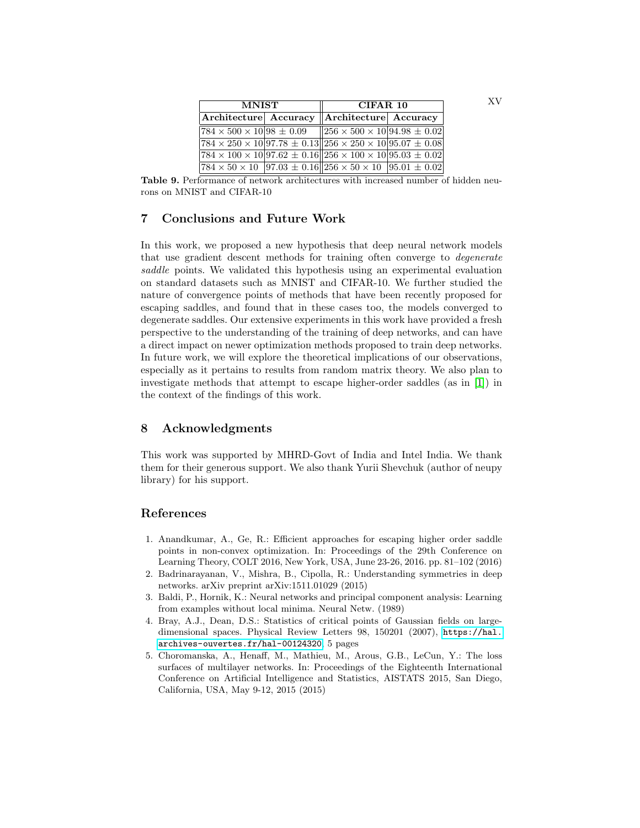| <b>MNIST</b>                            |  | CIFAR 10                                                                                  |  |
|-----------------------------------------|--|-------------------------------------------------------------------------------------------|--|
|                                         |  | Architecture Accuracy   Architecture   Accuracy                                           |  |
| $ 784 \times 500 \times 10 98 \pm 0.09$ |  | $  256 \times 500 \times 10 94.98 \pm 0.02  $                                             |  |
|                                         |  | $[784 \times 250 \times 10]97.78 \pm 0.13][256 \times 250 \times 10]95.07 \pm 0.08]$      |  |
|                                         |  | $784 \times 100 \times 10 97.62 \pm 0.16  256 \times 100 \times 10 95.03 \pm 0.02 $       |  |
|                                         |  | $ 784 \times 50 \times 10 $ 97.03 $\pm$ 0.16 256 $\times$ 50 $\times$ 10 95.01 $\pm$ 0.02 |  |

<span id="page-14-5"></span>Table 9. Performance of network architectures with increased number of hidden neurons on MNIST and CIFAR-10

# <span id="page-14-1"></span>7 Conclusions and Future Work

In this work, we proposed a new hypothesis that deep neural network models that use gradient descent methods for training often converge to degenerate saddle points. We validated this hypothesis using an experimental evaluation on standard datasets such as MNIST and CIFAR-10. We further studied the nature of convergence points of methods that have been recently proposed for escaping saddles, and found that in these cases too, the models converged to degenerate saddles. Our extensive experiments in this work have provided a fresh perspective to the understanding of the training of deep networks, and can have a direct impact on newer optimization methods proposed to train deep networks. In future work, we will explore the theoretical implications of our observations, especially as it pertains to results from random matrix theory. We also plan to investigate methods that attempt to escape higher-order saddles (as in [\[1\]](#page-14-3)) in the context of the findings of this work.

# 8 Acknowledgments

This work was supported by MHRD-Govt of India and Intel India. We thank them for their generous support. We also thank Yurii Shevchuk (author of neupy library) for his support.

# References

- <span id="page-14-3"></span>1. Anandkumar, A., Ge, R.: Efficient approaches for escaping higher order saddle points in non-convex optimization. In: Proceedings of the 29th Conference on Learning Theory, COLT 2016, New York, USA, June 23-26, 2016. pp. 81–102 (2016)
- <span id="page-14-2"></span>2. Badrinarayanan, V., Mishra, B., Cipolla, R.: Understanding symmetries in deep networks. arXiv preprint arXiv:1511.01029 (2015)
- <span id="page-14-4"></span>3. Baldi, P., Hornik, K.: Neural networks and principal component analysis: Learning from examples without local minima. Neural Netw. (1989)
- <span id="page-14-6"></span>4. Bray, A.J., Dean, D.S.: Statistics of critical points of Gaussian fields on largedimensional spaces. Physical Review Letters 98, 150201 (2007), [https://hal.](https://hal.archives-ouvertes.fr/hal-00124320) [archives-ouvertes.fr/hal-00124320](https://hal.archives-ouvertes.fr/hal-00124320), 5 pages
- <span id="page-14-0"></span>5. Choromanska, A., Henaff, M., Mathieu, M., Arous, G.B., LeCun, Y.: The loss surfaces of multilayer networks. In: Proceedings of the Eighteenth International Conference on Artificial Intelligence and Statistics, AISTATS 2015, San Diego, California, USA, May 9-12, 2015 (2015)